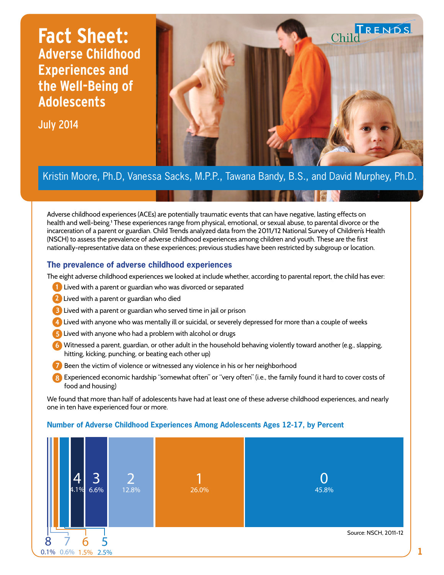# **Fact Sheet: Adverse Childhood Experiences and the Well-Being of Adolescents**

July 2014



## Kristin Moore, Ph.D, Vanessa Sacks, M.P.P., Tawana Bandy, B.S., and David Murphey, Ph.D.

Adverse childhood experiences (ACEs) are potentially traumatic events that can have negative, lasting effects on health and well-being.<sup>1</sup> These experiences range from physical, emotional, or sexual abuse, to parental divorce or the incarceration of a parent or guardian. Child Trends analyzed data from the 2011/12 National Survey of Children's Health (NSCH) to assess the prevalence of adverse childhood experiences among children and youth. These are the first nationally-representative data on these experiences; previous studies have been restricted by subgroup or location.

### **The prevalence of adverse childhood experiences**

The eight adverse childhood experiences we looked at include whether, according to parental report, the child has ever:

- 1. Lived with a parent or guardian who was divorced or separated **1**
- 2. Lived with a parent or guardian who died **2**
- 3. Lived with a parent or guardian who served time in jail or prison **3**
- 4. Lived with anyone who was mentally ill or suicidal, or severely depressed for more than a couple of weeks **4**
- 5. Lived with anyone who had a problem with alcohol or drugs **5**
- 6. Witnessed a parent, guardian, or other adult in the household behaving violently toward another (e.g., slapping, **6** hitting, kicking, punching, or beating each other up)
- **7** Been the victim of violence or witnessed any violence in his or her neighborhood
- 8. Experienced economic hardship "somewhat often" or "very often" (i.e., the family found it hard to cover costs of **8** food and housing)

We found that more than half of adolescents have had at least one of these adverse childhood experiences, and nearly one in ten have experienced four or more.



#### **Number of Adverse Childhood Experiences Among Adolescents Ages 12-17, by Percent**